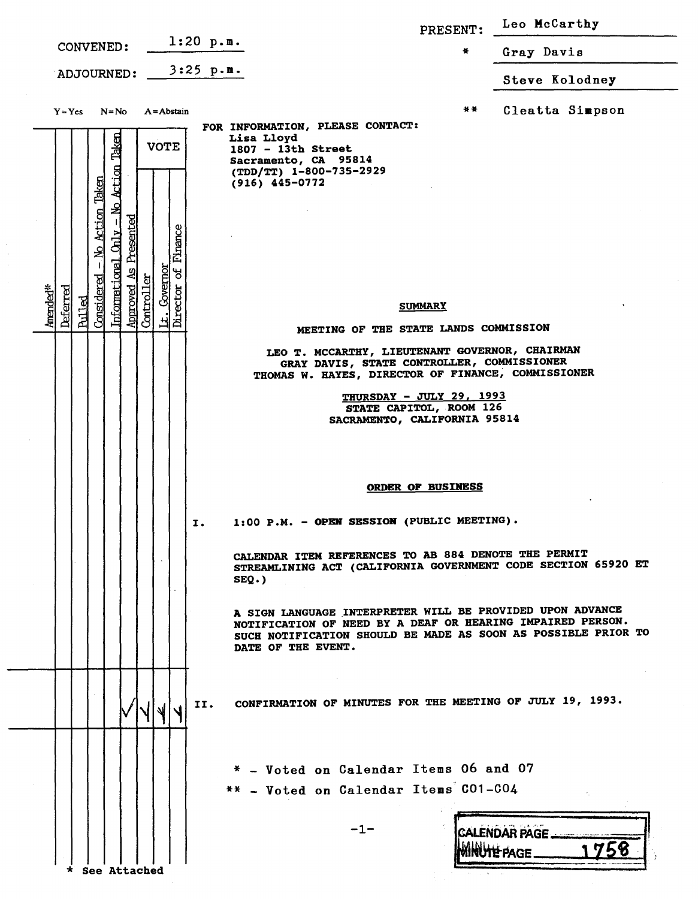|                                                                                                                                                                                                |                                                                                                                                                                                                                | PRESENT:                                            | Leo McCarthy         |
|------------------------------------------------------------------------------------------------------------------------------------------------------------------------------------------------|----------------------------------------------------------------------------------------------------------------------------------------------------------------------------------------------------------------|-----------------------------------------------------|----------------------|
| CONVENED:                                                                                                                                                                                      | $1:20$ p.m.                                                                                                                                                                                                    | x                                                   | Gray Davis           |
| ADJOURNED:                                                                                                                                                                                     | $3:25$ p.m.                                                                                                                                                                                                    |                                                     | Steve Kolodney       |
| $Y = Yes$<br>$N = No$<br>$A = Abstain$                                                                                                                                                         | FOR INFORMATION, PLEASE CONTACT:                                                                                                                                                                               | * *                                                 | Cleatta Simpson      |
| Taken<br><b>VOTE</b>                                                                                                                                                                           | Lisa Lloyd<br>$1807 - 13th$ Street<br>Sacramento, CA 95814<br>(TDD/TT) 1-800-735-2929<br>$(916)$ 445-0772                                                                                                      |                                                     |                      |
| Informational Only - No Action<br>- No Action Taken<br>Presented<br>Finance<br>Gvernor<br>JÓ<br>ধ<br>Considered<br>Controller<br>Director<br>Approved<br>Amended*<br>Deferred<br><b>Pulled</b> |                                                                                                                                                                                                                | <b>SUMMARY</b>                                      |                      |
| Ŀ.                                                                                                                                                                                             | MEETING OF THE STATE LANDS COMMISSION                                                                                                                                                                          |                                                     |                      |
|                                                                                                                                                                                                | LEO T. MCCARTHY, LIEUTENANT GOVERNOR, CHAIRMAN<br>GRAY DAVIS, STATE CONTROLLER, COMMISSIONER<br>THOMAS W. HAYES, DIRECTOR OF FINANCE, COMMISSIONER<br>SACRAMENTO, CALIFORNIA 95814                             | THURSDAY - JULY 29, 1993<br>STATE CAPITOL, ROOM 126 |                      |
|                                                                                                                                                                                                | 1:00 P.M. - OPEN SESSION (PUBLIC MEETING)<br>Ι.                                                                                                                                                                | <b>ORDER OF BUSINESS</b>                            |                      |
|                                                                                                                                                                                                | CALENDAR ITEM REFERENCES TO AB 884 DENOTE THE PERMIT<br>STREAMLINING ACT (CALIFORNIA GOVERNMENT CODE SECTION 65920 ET<br>$SEQ.$ )                                                                              |                                                     |                      |
|                                                                                                                                                                                                | A SIGN LANGUAGE INTERPRETER WILL BE PROVIDED UPON ADVANCE<br>NOTIFICATION OF NEED BY A DEAF OR HEARING IMPAIRED PERSON.<br>SUCH NOTIFICATION SHOULD BE MADE AS SOON AS POSSIBLE PRIOR TO<br>DATE OF THE EVENT. |                                                     |                      |
|                                                                                                                                                                                                | CONFIRMATION OF MINUTES FOR THE MEETING OF JULY 19, 1993.<br>II.                                                                                                                                               |                                                     |                      |
|                                                                                                                                                                                                | * - Voted on Calendar Items 06 and 07<br>** - Voted on Calendar Items CO1-CO4<br>$-1-$                                                                                                                         |                                                     | <b>CALENDAR PAGE</b> |
| See Attached                                                                                                                                                                                   |                                                                                                                                                                                                                |                                                     |                      |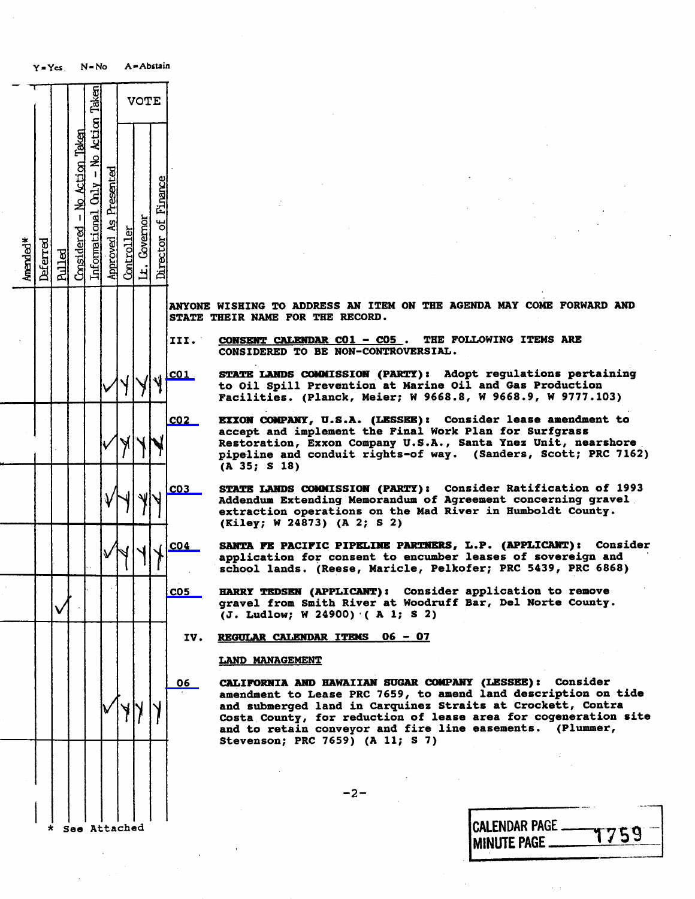| $Y = Ycs$ .          |          |        | $N = No$                        |                                      | A = Abstain           |            |              |                     |                               |                                                                                   |
|----------------------|----------|--------|---------------------------------|--------------------------------------|-----------------------|------------|--------------|---------------------|-------------------------------|-----------------------------------------------------------------------------------|
|                      |          |        |                                 |                                      |                       |            | <b>VOTE</b>  |                     |                               |                                                                                   |
| Amended <sup>*</sup> | Deferred | Rulled | $Considered - No Acti on Taken$ | Informational Chly - No Action Taken | Approved As Presented | Controller | Lt. Governor | Director of Finance |                               |                                                                                   |
|                      |          |        |                                 |                                      |                       |            |              |                     | <b>ANYONE</b><br><b>STATE</b> | <b>WISHING T</b><br>THEIR NAME                                                    |
|                      |          |        |                                 |                                      |                       |            |              |                     | III.                          | <b>CONSENT O</b><br><b>CONSIDERE</b>                                              |
|                      |          |        |                                 |                                      |                       |            |              |                     | $c$ 01 -                      | <b>STATE</b><br>LAI<br>to Oil Sp<br>Facilitie                                     |
|                      |          |        |                                 |                                      |                       |            |              |                     | CO <sub>2</sub>               | <b>EXXON COM</b><br>accept ar<br>Restorati<br>pipeline<br>(A.35)<br>S             |
|                      |          |        |                                 |                                      |                       |            | l            |                     | CO <sub>3</sub>               | <b>STATE LAM</b><br><b>Addendum</b><br>extractio<br>(Kiley;<br>- V                |
|                      |          |        |                                 |                                      |                       |            |              |                     | CO <sub>4</sub>               | <b>SANTA FE</b><br>applicati<br>$\mathbf{1}$<br>school                            |
|                      |          |        |                                 |                                      |                       |            |              |                     | C <sub>05</sub>               | <b>HARRY TEI</b><br>gravel fi<br>(J. Ludlo                                        |
|                      |          |        |                                 |                                      |                       |            |              |                     | IV.                           | <b>REGULAR C</b><br><b>LAND MAN?</b>                                              |
|                      |          |        |                                 |                                      |                       |            |              |                     | 06                            | <b>CALIFORNI</b><br>amendment<br>and subme<br>Costa Cou<br>and to re<br>Stevensor |
|                      |          |        |                                 |                                      |                       |            |              |                     |                               |                                                                                   |
|                      | $\star$  |        | See Attached                    |                                      |                       |            |              |                     |                               |                                                                                   |

ONE WISHING TO ADDRESS AN ITEM ON THE AGENDA MAY COME FORWARD AND TE THEIR NAME FOR THE RECORD.

CONSENT CALENDAR  $CO1 - CO5$ . THE FOLLOWING ITEMS ARE CONSIDERED TO BE NON-CONTROVERSIAL.

STATE LANDS COMMISSION (PARTY): Adopt regulations pertaining to Oil Spill Prevention at Marine Oil and Gas Production Facilities. (Planck, Meier; W 9668.8, W 9668.9, W 9777.103)

CO2 EXXON COMPANY, U.S.A. (LESSER) : Consider lease amendment to accept and implement the Final Work Plan for Surfgrass Restoration, Exxon Company U.S.A. , Santa Ynez Unit, nearshore pipeline and conduit rights-of way. (Sanders, Scott; PRC 7162) (A 35; \$ 18)

STATE LANDS COMMISSION (PARTY): Consider Ratification of 1993 Addendum Extending Memorandum of Agreement concerning gravel extraction operations on the Mad River in Humboldt County. (Kiley; W 24873) (A 2; S 2)

SANTA FE PACIFIC PIPELINE PARTNERS, L.P. (APPLICANT): Consider application for consent to encumber leases of sovereign and achool lands. (Reese, Maricle, Pelkofer; PRC 5439, PRC 6868)

HARRY TEDSEN (APPLICANT): Consider application to remove gravel from Smith River at Woodruff Bar, Del Norte County. (J. Ludlow; W 24900) ( A 1; S 2)

## V. REGULAR CALENDAR ITEMS 06 - 07

## LAND MANAGEMENT

CALIFORNIA AND HAWAIIAN SUGAR COMPANY (LESSEE) : Consider amendment to Lease PRC 7659, to amend land description on tide Costa County, for reduction of lease area for cogeneration site and to retain conveyor and fire line easements. (Plummer, Stevenson; PRC 7659) (A l1; s 7)

 $-2-$ 

|  | * See Attached | CALENDAR PAGE - 1759<br><b>MINUTE PAGE.</b> |
|--|----------------|---------------------------------------------|
|  |                |                                             |